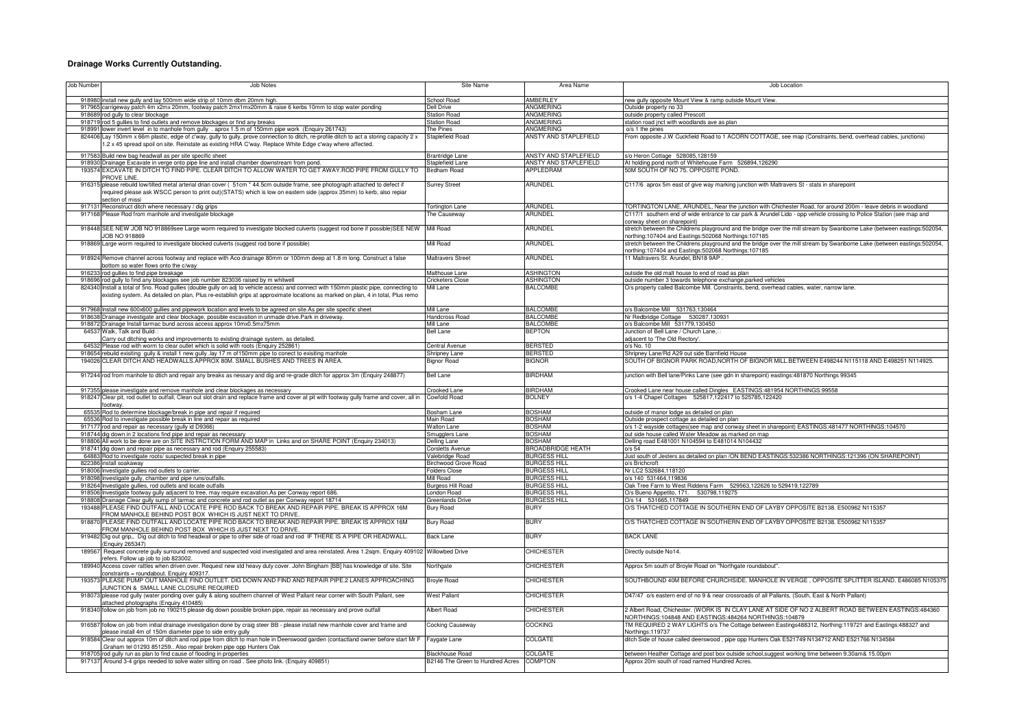## **Drainage Works Currently Outstanding.**

| Job Number | <b>Job Notes</b>                                                                                                                                                                                                                                                          | <b>Site Name</b>                         | Area Name                                  | Job Location                                                                                                                                                                                                                          |
|------------|---------------------------------------------------------------------------------------------------------------------------------------------------------------------------------------------------------------------------------------------------------------------------|------------------------------------------|--------------------------------------------|---------------------------------------------------------------------------------------------------------------------------------------------------------------------------------------------------------------------------------------|
|            | 918980 install new gully and lay 500mm wide strip of 10mm dbm 20mm high.                                                                                                                                                                                                  | School Road                              | AMBERLEY                                   | new gully opposite Mount View & ramp outside Mount View.                                                                                                                                                                              |
| 917965     | carrigeway patch 4m x2mx 20mm, footway patch 2mx1mx20mm & raise 6 kerbs 10mm to stop water ponding                                                                                                                                                                        | ell Drive                                | ANGMERING                                  | Outside property no 33                                                                                                                                                                                                                |
|            | 918689 rod gully to clear blockage                                                                                                                                                                                                                                        | <b>Station Road</b>                      | <b>ANGMERING</b>                           | outside property called Prescott                                                                                                                                                                                                      |
|            | 918719 rod 5 gullies to find outlets and remove blockages or find any breaks                                                                                                                                                                                              | <b>Station Road</b>                      | <b>ANGMERING</b>                           | station road jnct with woodlands ave as plan                                                                                                                                                                                          |
|            | 918991 lower invert level in to manhole from gully . aprox 1.5 m of 150mm pipe work (Enquiry 261743)<br>824406 Lay 150mm x 66m plastic, edge of c'way, gully to gully, prove connection to ditch, re-profile ditch to act a storing capacity 2 x                          | The Pines<br><b>Staplefield Road</b>     | ANGMERING<br>ANSTY AND STAPLEFIELD         | o/s 1 the pines<br>From opposite J.W Cuckfield Road to 1 ACORN COTTAGE, see map (Constraints, bend, overhead cables, junctions)                                                                                                       |
|            | .2 x 45 spread spoil on site. Reinstate as existing HRA C'way. Replace White Edge c'way where affected.                                                                                                                                                                   |                                          |                                            |                                                                                                                                                                                                                                       |
|            | 917583 Build new bag headwall as per site specific sheet                                                                                                                                                                                                                  | Brantridge Lane                          | ANSTY AND STAPLEFIELD                      | s/o Heron Cottage 528085,128159                                                                                                                                                                                                       |
|            | 918930 Drainage Excavate in verge onto pipe line and install chamber downstream from pond.                                                                                                                                                                                | Staplefield Lane                         | ANSTY AND STAPLEFIELD<br>APPLEDRAM         | At holding pond north of Whitehouse Farm 526894,126290                                                                                                                                                                                |
|            | 193574 EXCAVATE IN DITCH TO FIND PIPE. CLEAR DITCH TO ALLOW WATER TO GET AWAY.ROD PIPE FROM GULLY TO<br>PROVE LINE.                                                                                                                                                       | <b>Birdham Road</b>                      |                                            | 50M SOUTH OF NO 75. OPPOSITE POND.                                                                                                                                                                                                    |
| 916315     | 5 please rebuild low/tilted metal arterial drian cover (51cm * 44.5cm outside frame, see photograph attached to defect if<br>required please ask WSCC person to print out)(STATS) which is low on eastern side (approx 35mm) to kerb, also repiar<br>section of missi     | <b>Surrey Street</b>                     | ARUNDEL                                    | C117/6 aprox 5m east of give way marking junction with Maltravers St - stats in sharepoint                                                                                                                                            |
|            | 917131 Reconstruct ditch where necessary / dig grips<br>917168 Please Rod from manhole and investigate blockage                                                                                                                                                           | <b>Tortington Lane</b><br>The Causeway   | <b>ARUNDEL</b><br><b>ARUNDEL</b>           | TORTINGTON LANE, ARUNDEL, Near the junction with Chichester Road, for around 200m - leave debris in woodland<br>C117/1 southern end of wide entrance to car park & Arundel Lido - opp vehicle crossing to Police Station (see map and |
|            |                                                                                                                                                                                                                                                                           |                                          |                                            | conway sheet on sharepoint)                                                                                                                                                                                                           |
|            | 918448 SEE NEW JOB NO 918869see Large worm required to investigate blocked culverts (suggest rod bone if possible) SEE NEW<br><b>OB NO 918869</b>                                                                                                                         | Mill Road                                | <b>ARUNDEL</b>                             | stretch between the Childrens playground and the bridge over the mill stream by Swanborne Lake (between eastings:502054<br>northing:107404 and Eastings:502068 Northings:107185                                                       |
| 918869L    | Large worm required to investigate blocked culverts (suggest rod bone if possible)                                                                                                                                                                                        | <b>Mill Road</b>                         | <b>ARUNDEL</b>                             | stretch between the Childrens playground and the bridge over the mill stream by Swanborne Lake (between eastings:502054<br>northing:107404 and Eastings:502068 Northings:107185                                                       |
|            | 918924 Remove channel across footway and replace with Aco drainage 80mm or 100mm deep at 1.8 m long. Construct a false<br>ottom so water flows onto the c/way                                                                                                             | <b>Maltravers Street</b>                 | ARUNDEL                                    | 11 Maltravers St. Arundel, BN18 9AP                                                                                                                                                                                                   |
|            | 916233 rod gullies to find pipe breakage                                                                                                                                                                                                                                  | Malthouse Lane                           | <b>ASHINGTON</b>                           | outside the old malt house to end of road as plan                                                                                                                                                                                     |
|            | 918696 rod gully to find any blockages see job number 823036 raised by m whitwell                                                                                                                                                                                         | Cricketers Close                         | <b>ASHINGTON</b>                           | outside number 3 towards telephone exchange, parked vehicles                                                                                                                                                                          |
|            | 824340 Install a total of 5no. Road gullies (double gully on adj to vehicle access) and connect with 150mm plastic pipe, connecting to<br>existing system. As detailed on plan, Plus re-establish grips at approximate locations as marked on plan, 4 in total, Plus remo | Mill Lane                                | <b>BALCOMBE</b>                            | O/s property called Balcombe Mill. Constraints, bend, overhead cables, water, narrow lane.                                                                                                                                            |
|            | 917968 Install new 600x600 gullies and pipework location and levels to be agreed on site.As per site specific sheet                                                                                                                                                       | Mill Lane                                | <b>BALCOMBE</b>                            | o/s Balcombe Mill 531763,130464                                                                                                                                                                                                       |
| 918638     | Drainage investigate and clear blockage, possible excavation in unmade drive.Park in driveway.                                                                                                                                                                            | Handcross Road                           | <b>BALCOMBE</b>                            | Nr Redbridge Cottage 530287.130931                                                                                                                                                                                                    |
| 918872     | Drainage Install tarmac bund across access approx 10mx0.5mx75mm                                                                                                                                                                                                           | Mill Lane                                | <b>BALCOMBE</b>                            | o/s Balcombe Mill 531779,130450                                                                                                                                                                                                       |
| 64537      | Walk, Talk and Build<br>Carry out ditching works and improvements to existing drainage system, as detailed                                                                                                                                                                | Bell Lane                                | <b>BEPTON</b>                              | Junction of Bell Lane / Church Lane.<br>adjacent to 'The Old Rectory'.                                                                                                                                                                |
| 64532      | Please rod with worm to clear outlet which is solid with roots (Enquiry 252861)                                                                                                                                                                                           | <b>Central Avenue</b>                    | <b>BERSTED</b>                             | o/s No. 10                                                                                                                                                                                                                            |
|            | 918654 rebuild exisiting gully & install 1 new gully .lay 17 m of 150mm pipe to conect to exisiting manhole                                                                                                                                                               | Shripney Lane                            | <b>BERSTED</b>                             | Shripney Lane/Rd A29 out side Barnfield House                                                                                                                                                                                         |
|            | 194026 CLEAR DITCH AND HEADWALLS.APPROX 80M. SMALL BUSHES AND TREES IN AREA.                                                                                                                                                                                              | <b>Bignor Road</b>                       | <b>BIGNOR</b>                              | SOUTH OF BIGNOR PARK ROAD, NORTH OF BIGNOR MILL. BETWEEN E498244 N115118 AND E498251 N114925                                                                                                                                          |
|            | 917244 rod from manhole to dtich and repair any breaks as nessary and dig and re-grade ditch for approx 3m (Enquiry 248877)                                                                                                                                               | <b>Bell Lane</b>                         | <b>BIRDHAM</b>                             | junction with Bell lane/Pinks Lane (see gdn in sharepoint) eastings:481870 Northings 99345                                                                                                                                            |
|            | 917355 please investigate and remove manhole and clear blockages as necessary                                                                                                                                                                                             | <b>Crooked Lane</b>                      | <b>BIRDHAM</b>                             | Crooked Lane near house called Dingles EASTINGS:481954 NORTHINGS:99558                                                                                                                                                                |
| 918247     | Clear pit, rod outlet to outfall, Clean out slot drain and replace frame and cover at pit with footway gully frame and cover, all in<br>potway.                                                                                                                           | Cowfold Road                             | <b>BOLNEY</b>                              | o/s 1-4 Chapel Cottages 525817,122417 to 525785,122420                                                                                                                                                                                |
|            | 65535 Rod to determine blockage/break in pipe and repair if required                                                                                                                                                                                                      | Bosham Lane                              | <b>BOSHAM</b>                              | outside of manor lodge as detailed on plan                                                                                                                                                                                            |
| 65536      | Rod to investigate possible break in line and repair as required                                                                                                                                                                                                          | Main Road                                | <b>BOSHAM</b>                              | Outside prospect cottage as detailed on plan                                                                                                                                                                                          |
| 917177     | od and repair as necessary (gully id D9366)<br>918744 dig down in 2 locations find pipe and repair as necessary                                                                                                                                                           | <b>Walton Lane</b><br>Smugglers Lane     | <b>BOSHAM</b><br><b>BOSHAM</b>             | o/s 1-2 wayside cottages(see map and conway sheet in sharepoint) EASTINGS:481477 NORTHINGS:104570<br>out side house called Water Meadow as marked on map                                                                              |
|            | 918806 All work to be done are on SITE INSTRCTION FORM AND MAP in Links and on SHARE POINT (Enquiry 234013)                                                                                                                                                               | Delling Lane                             | <b>BOSHAM</b>                              | Delling road E481001 N104594 to E481014 N104432                                                                                                                                                                                       |
| 918741     | dig down and repair pipe as necessary and rod (Enquiry 255583)                                                                                                                                                                                                            | Corsletts Avenue                         | <b>BROADBRIDGE HEATH</b>                   | $0/s$ 54                                                                                                                                                                                                                              |
| 64883      | Rod to investigate roots/ suspected break in pipe                                                                                                                                                                                                                         | Valebridge Road                          | <b>BURGESS HILL</b>                        | Just south of Jesters as detailed on plan /ON BEND EASTINGS:532386 NORTHINGS:121396 (ON SHAREPOINT)                                                                                                                                   |
|            | 822386 install soakaway                                                                                                                                                                                                                                                   | Birchwood Grove Road                     | <b>BURGESS HILL</b><br><b>BURGESS HILL</b> | o/s Brichcroft<br>Nr LC2 532684.118120                                                                                                                                                                                                |
| 918098     | 918006 Investigate gullies rod outlets to carrier.<br>nvestigate gully, chamber and pipe runs/outfalls.                                                                                                                                                                   | <b>Folders Close</b><br><b>Mill Road</b> | <b>BURGESS HILL</b>                        | o/s 140 531464,119836                                                                                                                                                                                                                 |
|            | 918264 Investigate gullies, rod outlets and locate outfalls                                                                                                                                                                                                               | Burgess Hill Road                        | <b>BURGESS HILL</b>                        | Oak Tree Farm to West Riddens Farm 529563,122626 to 529419,122789                                                                                                                                                                     |
|            | 918506 Investigate footway gully adjacent to tree, may require excavation.As per Conway report 686                                                                                                                                                                        | London Road                              | <b>BURGESS HILL</b>                        | O/s Bueno Appetito, 171. 530798,119275                                                                                                                                                                                                |
| 918808     | Drainage Clear gully sump of tarmac and concrete and rod outlet as per Conway report 18714                                                                                                                                                                                | Greenlands Drive                         | <b>BURGESS HILL</b>                        | O/s 14 531665,117849                                                                                                                                                                                                                  |
| 193488 F   | PLEASE FIND OUTFALL AND LOCATE PIPE ROD BACK TO BREAK AND REPAIR PIPE. BREAK IS APPROX 16M<br>ROM MANHOLE BEHIND POST BOX WHICH IS JUST NEXT TO DRIVE                                                                                                                     | <b>Bury Road</b>                         | <b>BURY</b>                                | O/S THATCHED COTTAGE IN SOUTHERN END OF LAYBY OPPOSITE B2138. E500962 N115357                                                                                                                                                         |
| 91887      | PLEASE FIND OUTFALL AND LOCATE PIPE ROD BACK TO BREAK AND REPAIR PIPE. BREAK IS APPROX 16M<br>ROM MANHOLE BEHIND POST BOX WHICH IS JUST NEXT TO DRIVE.                                                                                                                    | <b>Bury Road</b>                         | <b>BURY</b>                                | O/S THATCHED COTTAGE IN SOUTHERN END OF LAYBY OPPOSITE B2138. E500962 N115357                                                                                                                                                         |
|            | 919482 Dig out grip., Dig out ditch to find headwall or pipe to other side of road and rod IF THERE IS A PIPE OR HEADWALL.<br>Enquiry 265347)                                                                                                                             | <b>Back Lane</b>                         | <b>BURY</b>                                | <b>BACK LANE</b>                                                                                                                                                                                                                      |
| 189567     | Request concrete gully surround removed and suspected void investigated and area reinstated. Area 1.2sqm. Enquiry 409102 Willowbed Drive<br>efers. Follow up job to job 823002                                                                                            |                                          | <b>CHICHESTER</b>                          | Directly outside No14.                                                                                                                                                                                                                |
|            | 189940 Access cover rattles when driven over. Request new std heavy duty cover. John Bingham [BB] has knowledge of site. Site<br>constraints = roundabout. Enquiry 409317.                                                                                                | Northgate                                | <b>CHICHESTER</b>                          | Approx 5m south of Broyle Road on "Northgate roundabout".                                                                                                                                                                             |
| 193573     | PLEASE PUMP OUT MANHOLE FIND OUTLET. DIG DOWN AND FIND AND REPAIR PIPE.2 LANES APPROACHING<br>UNCTION & SMALL LANE CLOSURE REQUIRED                                                                                                                                       | <b>Broyle Road</b>                       | <b>CHICHESTER</b>                          | SOUTHBOUND 40M BEFORE CHURCHSIDE. MANHOLE IN VERGE, OPPOSITE SPLITTER ISLAND. E486085 N105375                                                                                                                                         |
|            | 918073 please rod gully (water ponding over gully & along southern channel of West Pallant near corner with South Pallant, see<br>ttached photographs (Enquiry 410485)                                                                                                    | <b>West Pallant</b>                      | <b>CHICHESTER</b>                          | D47/47 o/s eastern end of no 9 & near crossroads of all Pallants, (South, East & North Pallant)                                                                                                                                       |
|            | 918340 follow on job from job no 190215 please dig down possible broken pipe, repair as necessary and prove outfall                                                                                                                                                       | Albert Road                              | <b>CHICHESTER</b>                          | 2 Albert Road, Chichester. (WORK IS IN CLAY LANE AT SIDE OF NO 2 ALBERT ROAD BETWEEN EASTINGS:484360<br>VORTHINGS:104848 AND EASTINGS:484264 NORTHINGS:104879                                                                         |
|            | 916587 follow on job from initial drainage investigation done by craig steer BB - please install new manhole cover and frame and<br>lease install 4m of 150m diameter pipe to side entry gully                                                                            | Cocking Causeway                         | <b>COCKING</b>                             | TM REQUIRED 2 WAY LIGHTS o/s The Cottage between Eastings488312, Northing:119721 and Eastings:488327 and<br>Vorthings:119737                                                                                                          |
| 918584     | Clear out approx 10m of ditch and rod pipe from ditch to man hole in Deerswood garden (contactland owner before start Mr F<br>Graham tel 01293 851259 Also repair broken pipe opp Hunters Oak                                                                             | Faygate Lane                             | <b>COLGATE</b>                             | ditch Side of house called deerswood, pipe opp Hunters Oak E521749 N134712 AND E521766 N134584                                                                                                                                        |
|            | 918705 rod gully run as plan to find cause of flooding in properties                                                                                                                                                                                                      | <b>Blackhouse Road</b>                   | COI GATE                                   | between Heather Cottage and post box outside school, suggest working time between 9.30am& 15.00pm                                                                                                                                     |
|            | 917137 Around 3-4 grips needed to solve water sitting on road. See photo link. (Enquiry 409851)                                                                                                                                                                           | B2146 The Green to Hundred Acres         | <b>COMPTON</b>                             | Approx 20m south of road named Hundred Acres.                                                                                                                                                                                         |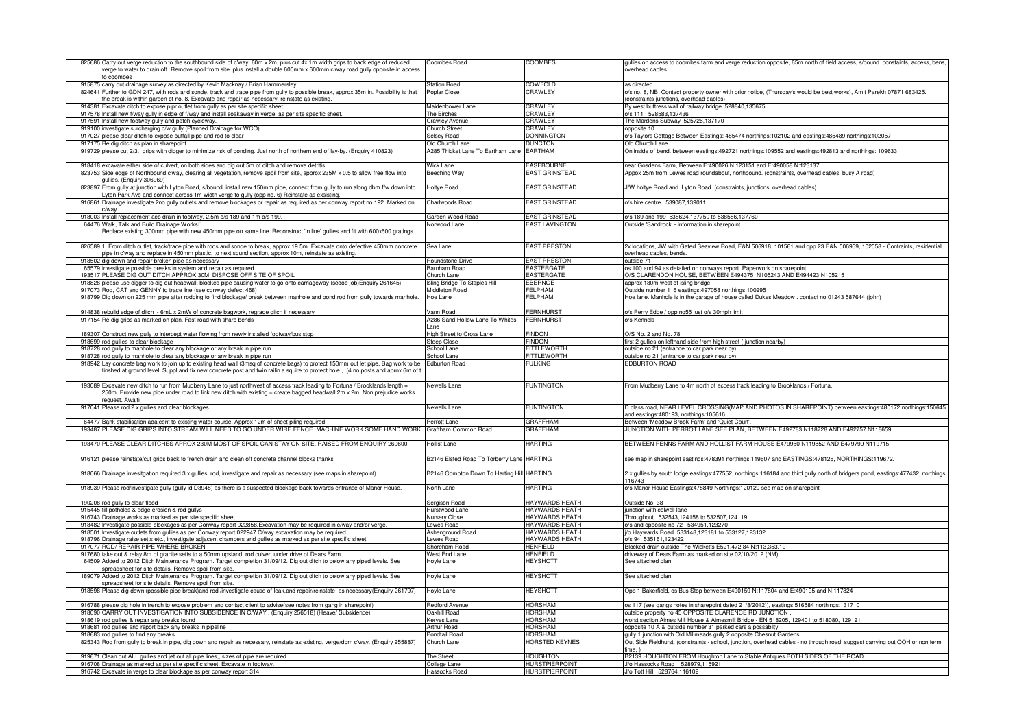| 825686 | Carry out verge reduction to the southbound side of c'way, 60m x 2m, plus cut 4x 1m width grips to back edge of reduced<br>verge to water to drain off. Remove spoil from site. plus install a double 600mm x 600mm c'way road gully opposite in access<br>to coombes        | Coombes Road                               | <b>COOMBES</b>               | gullies on access to coombes farm and verge reduction opposite, 65m north of field access, s/bound. constaints, access, bens,<br>verhead cables   |
|--------|------------------------------------------------------------------------------------------------------------------------------------------------------------------------------------------------------------------------------------------------------------------------------|--------------------------------------------|------------------------------|---------------------------------------------------------------------------------------------------------------------------------------------------|
|        | 915875 carry out drainage survey as directed by Kevin Macknay / Brian Hammersley                                                                                                                                                                                             | <b>Station Road</b>                        | <b>COWFOLD</b>               | as directed                                                                                                                                       |
| 824641 |                                                                                                                                                                                                                                                                              |                                            | CRAWLEY                      |                                                                                                                                                   |
|        | Further to GDN 247, with rods and sonde, track and trace pipe from gully to possible break, approx 35m in. Possibility is that<br>he break is within garden of no. 8. Excavate and repair as necessary, reinstate as existing.                                               | Poplar Close                               |                              | o/s no. 8, NB: Contact property owner with prior notice, (Thursday's would be best works), Amit Parekh 07871 683425.                              |
|        |                                                                                                                                                                                                                                                                              |                                            |                              | constraints junctions, overhead cables)                                                                                                           |
|        | 914381 Excavate ditch to expose pipr outlet from gully as per site specific sheet.                                                                                                                                                                                           | Maidenbower Lane                           | CRAWLEY                      | By west buttress wall of railway bridge. 528840,135675                                                                                            |
|        | 917578 Install new f/way gully in edge of f/way and install soakaway in verge, as per site specific sheet                                                                                                                                                                    | The Birches                                | CRAWLEY                      | o/s 111 528583,137436                                                                                                                             |
|        | 917591 Install new footway gully and patch cycleway.                                                                                                                                                                                                                         | Crawley Avenue                             | CRAWLEY                      | The Mardens Subway 525726,137170                                                                                                                  |
| 919100 | investigate surcharging c/w gully (Planned Drainage for WCO)                                                                                                                                                                                                                 | Church Street                              | <b>CRAWLEY</b>               | opposite 10                                                                                                                                       |
| 917027 | blease clear ditch to expose outfall pipe and rod to clear                                                                                                                                                                                                                   | <b>Selsey Road</b>                         | <b>DONNINGTON</b>            | o/s Taylors Cottage Between Eastings: 485474 northings:102102 and eastings:485489 northings:102057                                                |
|        | 917175 Re dig ditch as plan in sharepoint                                                                                                                                                                                                                                    | <b>Old Church Lane</b>                     | <b>DUNCTON</b>               | Old Church Lane                                                                                                                                   |
|        | 919729 please cut 2/3. grips with digger to minimize risk of ponding. Just north of northern end of lay-by. (Enquiry 410823)                                                                                                                                                 | A285 Thicket Lane To Eartham Lane          | <b>EARTHAM</b>               | On inside of bend. between eastings:492721 northings:109552 and eastings:492813 and northings: 109633                                             |
|        | 918418 excavate either side of culvert, on both sides and dig out 5m of ditch and remove detritis                                                                                                                                                                            | Wick Lane                                  | <b>EASEBOURNE</b>            | near Gosdens Farm, Between E:490026 N:123151 and E:490058 N:123137                                                                                |
| 823753 | Side edge of Northbound c'way, clearing all vegetation, remove spoil from site, approx 235M x 0.5 to allow free flow into                                                                                                                                                    | leeching Way                               | <b><i>EAST GRINSTEAD</i></b> | Appox 25m from Lewes road roundabout, northbound. (constraints, overhead cables, busy A road)                                                     |
| 823897 | ullies. (Enguiry 306969)<br>From gully at junction with Lyton Road, s/bound, install new 150mm pipe, connect from gully to run along dbm f/w down into                                                                                                                       | <b>Holtye Road</b>                         | <b>EAST GRINSTEAD</b>        | J/W holtye Road and Lyton Road. (constraints, junctions, overhead cables)                                                                         |
| 91686  | yton Park Ave and connect across 1m width verge to gully (opp no. 6) Reinstate as exsisting.<br>Drainage investigate 2no gully outlets and remove blockages or repair as required as per conway report no 192. Marked on                                                     | harlwoods Road                             | <b>EAST GRINSTEAD</b>        | o/s hire centre 539087,139011                                                                                                                     |
|        | c/way.                                                                                                                                                                                                                                                                       |                                            |                              |                                                                                                                                                   |
|        | 918003 Install replacement aco drain in footway, 2.5m o/s 189 and 1m o/s 199.                                                                                                                                                                                                | Garden Wood Road                           | EAST GRINSTEAD               | o/s 189 and 199 538624,137750 to 538586,137760                                                                                                    |
|        | 64476 Walk, Talk and Build Drainage Works                                                                                                                                                                                                                                    | <b>Jorwood Lane</b>                        | <b>EAST LAVINGTON</b>        | Outside 'Sandrock' - information in sharepoint                                                                                                    |
|        | Replace existing 300mm pipe with new 450mm pipe on same line. Reconstruct 'in line' gullies and fit with 600x600 gratings.                                                                                                                                                   |                                            |                              |                                                                                                                                                   |
|        | 826589 1. From ditch outlet, track/trace pipe with rods and sonde to break, approx 19.5m. Excavate onto defective 450mm concrete<br>pipe in c'way and replace in 450mm plastic, to next sound section, approx 10m, reinstate as existing.                                    | Sea Lane                                   | <b>EAST PRESTON</b>          | 2x locations, JW with Gated Seaview Road, E&N 506918, 101561 and opp 23 E&N 506959, 102058 - Contraints, residential,<br>overhead cables, bends.  |
|        | 918502 dig down and repair broken pipe as necessary                                                                                                                                                                                                                          | Roundstone Drive                           | <b>EAST PRESTON</b>          | outside 71                                                                                                                                        |
|        | 65579 Investigate possible breaks in system and repair as required.                                                                                                                                                                                                          | Barnham Road                               | <b>EASTERGATE</b>            | os 100 and 94 as detailed on conways report .Paperwork on sharepoint                                                                              |
|        | 193517 PLEASE DIG OUT DITCH APPROX 30M, DISPOSE OFF SITE OF SPOIL                                                                                                                                                                                                            | Church Lane                                | <b>EASTERGATE</b>            | O/S CLARENDON HOUSE, BETWEEN E494375 N105243 AND E494423 N105215                                                                                  |
| 918828 | please use digger to dig out headwall, blocked pipe causing water to go onto carriageway (scoop job)Enquiry 261645)                                                                                                                                                          | sling Bridge To Staples Hill               | <b>EBERNOE</b>               | approx 180m west of isling bridge                                                                                                                 |
|        | 917073 Rod, CAT and GENNY to trace line (see conway defect 468)                                                                                                                                                                                                              | Middleton Road                             | FEI PHAM                     | Outside number 116 eastings: 497058 northings: 100295                                                                                             |
| 918799 | Dig down on 225 mm pipe after rodding to find blockage/break between manhole and pond.rod from gully towards manhole.                                                                                                                                                        | loe Lane                                   | <b>FI PHAM</b>               | Hoe lane. Manhole is in the garage of house called Dukes Meadow. contact no 01243 587644 (john)                                                   |
|        | 914838 rebuild edge of ditch - 6mL x 2mW of concrete bagwork, regrade ditch if necessary                                                                                                                                                                                     | Vann Road                                  | <b>FERNHURS</b>              | o/s Perry Edge / opp no55 just o/s 30mph limit                                                                                                    |
|        |                                                                                                                                                                                                                                                                              |                                            |                              |                                                                                                                                                   |
|        | 917154 Re dig grips as marked on plan. Fast road with sharp bends                                                                                                                                                                                                            | A286 Sand Hollow Lane To Whites            | <b>FERNHURS</b>              | o/s Kennels                                                                                                                                       |
|        |                                                                                                                                                                                                                                                                              | ane                                        |                              |                                                                                                                                                   |
|        | 189307 Construct new gully to intercept water flowing from newly installed footway/bus stop                                                                                                                                                                                  | High Street to Cross Lane                  | Findon                       | O/S No. 2 and No. 78                                                                                                                              |
|        | 918699 rod gullies to clear blockage                                                                                                                                                                                                                                         | Steep Close                                | <b>FINDON</b>                | first 2 gullies on lefthand side from high street (junction nearby)                                                                               |
|        | 918728 rod gully to manhole to clear any blockage or any break in pipe run                                                                                                                                                                                                   | <b>School Lane</b>                         | <b>FITTLEWORTH</b>           | outside no 21 (entrance to car park near by)                                                                                                      |
|        | 918728 rod gully to manhole to clear any blockage or any break in pipe run                                                                                                                                                                                                   | School Lane                                | <b>FITTLEWORTH</b>           | outside no 21 (entrance to car park near by)                                                                                                      |
|        | 918942 Lay concrete bag work to join up to existing head wall (3msq of concrete bags) to protect 150mm out let pipe. Bag work to be<br>inshed at ground level. Suppl and fix new concrete post and twin railin a squire to protect hole, (4 no posts and aprox 6m of t       | <b>Edburton Road</b>                       | <b>FUI KING</b>              | <b>FDBURTON ROAD</b>                                                                                                                              |
|        | 193089 Excavate new ditch to run from Mudberry Lane to just northwest of access track leading to Fortuna / Brooklands length =<br>250m. Provide new pipe under road to link new ditch with existing + create bagged headwall 2m x 2m. Non prejudice works<br>request. Awaiti | Jewells Lane                               | <b>FUNTINGTON</b>            | From Mudberry Lane to 4m north of access track leading to Brooklands / Fortuna.                                                                   |
|        | 917041 Please rod 2 x gullies and clear blockages                                                                                                                                                                                                                            | Newells Lane                               | <b>FUNTINGTON</b>            | D class road, NEAR LEVEL CROSSING(MAP AND PHOTOS IN SHAREPOINT) between eastings:480172 northings:150645<br>and eastings:480193, northings:105616 |
|        | 64477 Bank stabilisation adajcent to existing water course. Approx 12m of sheet piling required.                                                                                                                                                                             | Perrott Lane                               | <b>GRAFFHAM</b>              | Between 'Meadow Brook Farm' and 'Quiet Court'.                                                                                                    |
| 193487 | PLEASE DIG GRIPS INTO STREAM WILL NEED TO GO UNDER WIRE FENCE. MACHINE WORK SOME HAND WORK                                                                                                                                                                                   | àraffham Common Road                       | <b>GRAFFHAM</b>              | IUNCTION WITH PERROT LANE SEE PLAN, BETWEEN E492783 N118728 AND E492757 N118659.                                                                  |
|        |                                                                                                                                                                                                                                                                              |                                            |                              |                                                                                                                                                   |
|        | 193470 PLEASE CLEAR DITCHES APROX 230M MOST OF SPOIL CAN STAY ON SITE. RAISED FROM ENQUIRY 260600                                                                                                                                                                            | <b>Jollist Lane</b>                        | <b>HARTING</b>               | BETWEEN PENNS FARM AND HOLLIST FARM HOUSE E479950 N119852 AND E479799 N119715                                                                     |
|        | 916121 please reinstate/cut grips back to french drain and clean off concrete channel blocks thanks                                                                                                                                                                          | 32146 Elsted Road To Torberry Lane HARTING |                              | see map in sharepoint eastings:478391 northings:119607 and EASTINGS:478126, NORTHINGS:119672.                                                     |
|        | 918066 Drainage invesitgation required 3 x gullies, rod, investigate and repair as necessary (see maps in sharepoint)                                                                                                                                                        | B2146 Compton Down To Harting Hill HARTING |                              | 2 x gullies by south lodge eastings:477552, northings:116184 and third gully north of bridgers pond, eastings:477432, northings<br>116743         |
| 918939 | Please rod/investigate gully (gully id D3948) as there is a suspected blockage back towards entrance of Manor House.                                                                                                                                                         | <b>North Lane</b>                          | <b>HARTING</b>               | o/s Manor House Eastings:478849 Northings:120120 see map on sharepoint                                                                            |
|        | 190208 rod gully to clear flood                                                                                                                                                                                                                                              | Sergison Road                              | <b>HAYWARDS HEATH</b>        | Outside No. 38                                                                                                                                    |
|        | 915445 fill potholes & edge erosion & rod gullys                                                                                                                                                                                                                             | Hurstwood Lane                             | <b>HAYWARDS HEATH</b>        | unction with colwell lane                                                                                                                         |
|        | 916743 Drainage works as marked as per site specific sheet.                                                                                                                                                                                                                  | <b>Nursery Close</b>                       | <b>HAYWARDS HEATH</b>        | Throughout 532543,124158 to 532507,124119                                                                                                         |
| 918482 | nvestigate possible blockages as per Conway report 022858.Excavation may be required in c/way and/or verge.                                                                                                                                                                  | ewes Road                                  | HAYWARDS HEATH               | /s and opposite no 72 534951,123270                                                                                                               |
|        | 918501 Investigate outlets from gullies as per Conway report 022947.C/way excavation may be required.                                                                                                                                                                        | Ashenground Road                           | <b>HAYWARDS HEATH</b>        | 6 Haywards Road 533148,123181 to 533127,123132                                                                                                    |
|        | 918796 Drainage raise setts etc., investigate adjacent chambers and gullies as marked as per site specific sheet.                                                                                                                                                            | ewes Road                                  | <b>HAYWARDS HEATH</b>        | o/s 94 535161,123422                                                                                                                              |
| 917077 | ROD/ REPAIR PIPE WHERE BROKEN                                                                                                                                                                                                                                                |                                            | <b>HENFIELD</b>              |                                                                                                                                                   |
|        |                                                                                                                                                                                                                                                                              | Shoreham Road<br>West End Lane             | HENFIELD                     | Blocked drain outside The Wicketts E521,472.84 N:113,353.19<br>driveway of Dears Farm as marked on site 02/10/2012 (NM)                           |
|        | 917680 take out & relay 8m of granite setts to a 50mm upstand, rod culvert under drive of Dears Farm                                                                                                                                                                         |                                            |                              |                                                                                                                                                   |
|        | 64509 Added to 2012 Ditch Maintenance Program. Target completion 31/09/12. Dig out ditch to below any piped levels. See                                                                                                                                                      | loyle Lane                                 | HEYSHOTT                     | See attached plan                                                                                                                                 |
| 18907  | spreadsheet for site details. Remove spoil from site.<br>Added to 2012 Ditch Maintenance Program. Target completion 31/09/12. Dig out ditch to below any piped levels. See                                                                                                   | Hoyle Lane                                 | <b>HEYSHOTT</b>              | See attached plan.                                                                                                                                |
| 918598 | spreadsheet for site details. Remove spoil from site<br>lease dig down (possible pipe break) and rod /investigate cause of leak, and repair/reinstate as necessary(Enquiry 261797)                                                                                           | Hoyle Lane                                 | <b>HEYSHOTT</b>              | Opp 1 Bakerfield, os Bus Stop between E490159 N:117804 and E:490195 and N:117824                                                                  |
|        |                                                                                                                                                                                                                                                                              |                                            |                              |                                                                                                                                                   |
|        | 916788 please dig hole in trench to expose problem and contact client to advise(see notes from gang in sharepoint)                                                                                                                                                           | Redford Avenue                             | <b>HORSHAM</b>               | os 117 (see gangs notes in sharepoint dated 21/8/2012)), eastings: 516584 northings: 131710                                                       |
|        | 918090 CARRY OUT INVESTIGATION INTO SUBSIDENCE IN C/WAY . (Enquiry 256518) (Heave/ Subsidence)                                                                                                                                                                               | Jakhill Road                               | <b>IORSHAM</b>               | outside property no 45 OPPOSITE CLARENCE RD JUNCTION                                                                                              |
| 918619 | rod gullies & repair any breaks found                                                                                                                                                                                                                                        | Cerves Lane                                | ORSHAM                       | worst section Aimes Mill House & Aimesmill Bridge - EN 518205, 129401 to 518080, 129121                                                           |
| 918681 | rod gullies and report back any breaks in pipeline                                                                                                                                                                                                                           | <b>Arthur Road</b>                         | <b>HORSHAM</b>               | opposite 10 A & outside number 31 parked cars a possabilty                                                                                        |
|        | 918683 rod gullies to find any breaks                                                                                                                                                                                                                                        | Pondtail Road                              | <b>HORSHAM</b>               | gully 1 junction with Old Millmeads gully 2 opposite Chesnut Gardens                                                                              |
|        | 825343 Rod from gully to break in pipe, dig down and repair as necessary, reinstate as existing, verge/dbm c'way. (Enquiry 255887)                                                                                                                                           | Church Lane                                | <b>HORSTED KEYNES</b>        | Out Side Fieldhurst, (constraints - school, junction, overhead cables - no through road, suggest carrying out OOH or non term<br>ime.             |
| 919671 | Clean out ALL gullies and jet out all pipe lines,, sizes of pipe are required                                                                                                                                                                                                | The Street                                 | <b>HOUGHTON</b>              | B2139 HOUGHTON FROM Houghton Lane to Stable Antiques BOTH SIDES OF THE ROAD                                                                       |
|        | 916708 Drainage as marked as per site specific sheet. Excavate in footway.                                                                                                                                                                                                   | College Lane                               | <b>HURSTPIERPOINT</b>        | J/o Hassocks Road 528979.115921                                                                                                                   |
|        |                                                                                                                                                                                                                                                                              | Hassocks Road                              | <b>HURSTPIERPOINT</b>        | J/o Tott Hill 528764,116102                                                                                                                       |
|        | 916742 Excavate in verge to clear blockage as per conway report 314.                                                                                                                                                                                                         |                                            |                              |                                                                                                                                                   |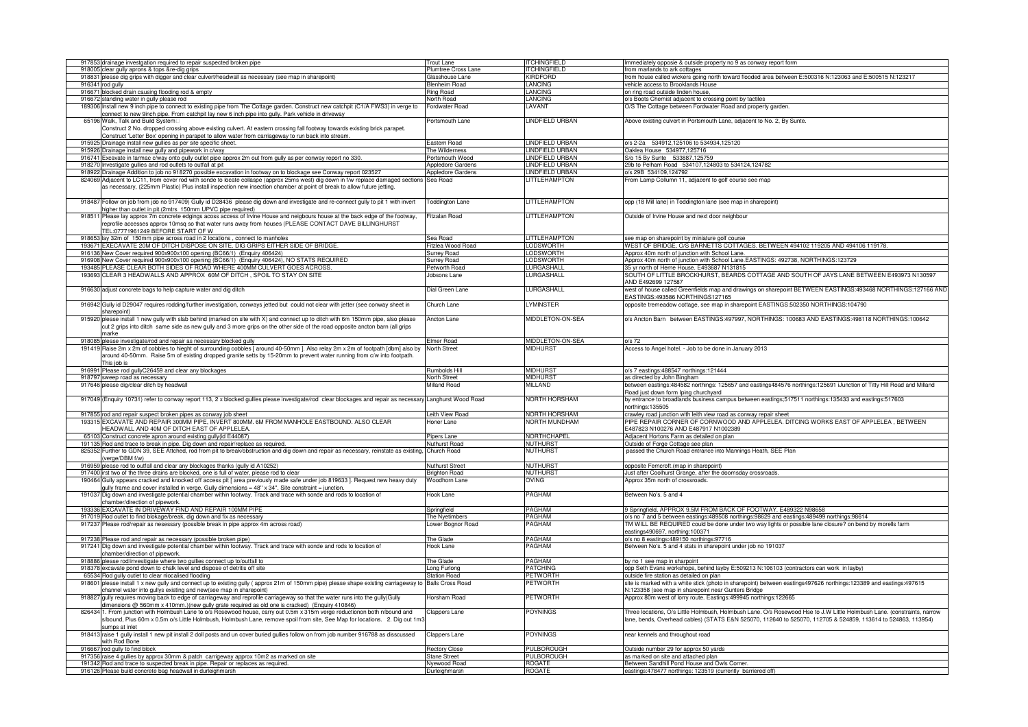|        | 917853 drainage investgation required to repair suspected broken pipe                                                                  | Trout Lane               | <b>ITCHINGFIELD</b>  | Immediately opposie & outside property no 9 as conway report form                                                       |
|--------|----------------------------------------------------------------------------------------------------------------------------------------|--------------------------|----------------------|-------------------------------------------------------------------------------------------------------------------------|
| 918005 | clear gully aprons & tops &re-dig grips                                                                                                | Plumtree Cross Lane      | <b>ITCHINGFIELD</b>  | from marlands to ark cottages                                                                                           |
|        | 918831 please dig grips with digger and clear culvert/headwall as necessary (see map in sharepoint)                                    | Glasshouse Lane          | <b>KIRDFORD</b>      | from house called wickers going north toward flooded area between E:500316 N:123063 and E:500515 N:123217               |
|        |                                                                                                                                        |                          |                      |                                                                                                                         |
|        | 916341 rod gully                                                                                                                       | <b>Benheim Road</b>      | <b>LANCING</b>       | vehicle access to Brooklands House                                                                                      |
| 916671 | blocked drain causing flooding rod & empty                                                                                             | <b>Ring Road</b>         | <b>LANCING</b>       | on ring road outside linden house,                                                                                      |
|        | 916672 standing water in gully please rod                                                                                              | lorth Road               | ANCING               | o/s Boots Chemist adjacent to crossing point by tactiles                                                                |
|        | 189306 Install new 9 inch pipe to connect to existing pipe from The Cottage garden. Construct new catchpit (C1/A FWS3) in verge to     | ordwater Road            | LAVANT               | O/S The Cottage between Fordwater Road and property garden                                                              |
|        | connect to new 9inch pipe. From catchpit lay new 6 inch pipe into gully. Park vehicle in driveway                                      |                          |                      |                                                                                                                         |
|        |                                                                                                                                        |                          |                      |                                                                                                                         |
|        | 65196 Walk, Talk and Build System                                                                                                      | Portsmouth Lane          | LINDFIELD URBAN      | Above existing culvert in Portsmouth Lane, adjacent to No. 2, By Sunte.                                                 |
|        | Construct 2 No. dropped crossing above existing culvert. At eastern crossing fall footway towards existing brick parapet.              |                          |                      |                                                                                                                         |
|        | Construct 'Letter Box' opening in parapet to allow water from carriageway to run back into stream.                                     |                          |                      |                                                                                                                         |
|        | 915925 Drainage install new gullies as per site specific sheet.                                                                        | Eastern Road             | LINDFIELD URBAN      | o/s 2-2a 534912,125106 to 534934,125120                                                                                 |
|        |                                                                                                                                        |                          |                      |                                                                                                                         |
|        | 915926 Drainage install new gully and pipework in c/way                                                                                | The Wilderness           | LINDFIELD URBAN      | Oaklea House 534977,125716                                                                                              |
|        | 916741 Excavate in tarmac c/way onto gully outlet pipe approx 2m out from gully as per conway report no 330.                           | Portsmouth Wood          | LINDFIELD URBAN      | S/o 15 By Sunte 533887,125759                                                                                           |
|        | 918270 Investigate gullies and rod outlets to outfall at pit                                                                           | <b>Appledore Gardens</b> | INDFIELD URBAN       | 9b to Pelham Road 534107,124803 to 534124,124782                                                                        |
|        | 918922 Drainage Addition to job no 918270 possible excavation in footway on to blockage see Conway report 023527                       | Appledore Gardens        | LINDFIELD URBAN      | o/s 29B 534109,124792                                                                                                   |
|        |                                                                                                                                        |                          |                      |                                                                                                                         |
|        | 824069 Adjacent to LC11, from cover rod with sonde to locate collaspe (approx 25ms west) dig down in f/w replace damaged sections      | Sea Road                 | LITTLEHAMPTON        | From Lamp Collumn 11, adjacent to golf course see map                                                                   |
|        | as necessary, (225mm Plastic) Plus install inspection new insection chamber at point of break to allow future jetting.                 |                          |                      |                                                                                                                         |
|        |                                                                                                                                        |                          |                      |                                                                                                                         |
|        | 918487 Follow on job from job no 917409) Gully id D28436 please dig down and investigate and re-connect gully to pit 1 with invert     | <b>Toddington Lane</b>   | <b>LITTLEHAMPTON</b> | opp (18 Mill lane) in Toddington lane (see map in sharepoint)                                                           |
|        |                                                                                                                                        |                          |                      |                                                                                                                         |
|        | higher than outlet in pit.(2mtrs 150mm UPVC pipe required)                                                                             |                          |                      |                                                                                                                         |
| 91851  | Please lay approx 7m concrete edgings acoss access of Irvine House and neigbours house at the back edge of the footway,                | itzalan Road             | <b>LITTLEHAMPTON</b> | Outside of Irvine House and next door neighbour                                                                         |
|        | reprofile accesses approx 10msq so that water runs away from houses (PLEASE CONTACT DAVE BILLINGHURST                                  |                          |                      |                                                                                                                         |
|        | TEL:07771961249 BEFORE START OF W                                                                                                      |                          |                      |                                                                                                                         |
|        |                                                                                                                                        |                          |                      |                                                                                                                         |
|        | 918653 lay 32m of 150mm pipe across road in 2 locations, connect to manholes                                                           | Sea Road                 | <b>LITTLEHAMPTON</b> | see map on sharepoint by miniature golf course                                                                          |
|        | 193671 EXECAVATE 20M OF DITCH DISPOSE ON SITE, DIG GRIPS EITHER SIDE OF BRIDGE.                                                        | Fitzlea Wood Road        | <b>LODSWORTH</b>     | WEST OF BRIDGE, O/S BARNETTS COTTAGES, BETWEEN 494102 119205 AND 494106 119178.                                         |
|        | 916136 New Cover required 900x900x100 opening (BC66/1) (Enquiry 406424)                                                                | <b>Surrey Road</b>       | <b>LODSWORTH</b>     | Approx 40m north of junction with School Lane                                                                           |
|        | 916908 New Cover required 900x900x100 opening (BC66/1) (Enquiry 406424), NO STATS REQUIRED                                             | <b>Surrey Road</b>       | <b>LODSWORTH</b>     | Approx 40m north of junction with School Lane.EASTINGS: 492738, NORTHINGS:123729                                        |
|        |                                                                                                                                        |                          |                      |                                                                                                                         |
| 193485 | PLEASE CLEAR BOTH SIDES OF ROAD WHERE 400MM CULVERT GOES ACROSS                                                                        | etworth Road             | LURGASHALL           | 35 yr north of Herne House. E493687 N131815                                                                             |
|        | 193693 CLEAR 3 HEADWALLS AND APPROX 60M OF DITCH , SPOIL TO STAY ON SITE                                                               | obsons Lane              | LURGASHALL           | SOUTH OF LITTLE BROCKHURST, BEARDS COTTAGE AND SOUTH OF JAYS LANE BETWEEN E493973 N130597                               |
|        |                                                                                                                                        |                          |                      | AND E492699 127587                                                                                                      |
|        |                                                                                                                                        | Dial Green Lane          | LURGASHALL           | west of house called Greenfields map and drawings on sharepoint BETWEEN EASTINGS:493468 NORTHINGS:127166 AND            |
|        | 916630 adjust concrete bags to help capture water and dig ditch                                                                        |                          |                      |                                                                                                                         |
|        |                                                                                                                                        |                          |                      | EASTINGS: 493586 NORTHINGS127165                                                                                        |
|        | 916942 Gully id D29047 requires rodding/further investigation, conways jetted but could not clear with jetter (see conway sheet in     | Church Lane              | <b>I YMINSTER</b>    | opposite tremeadow cottage, see map in sharepoint EASTINGS:502350 NORTHINGS:104790                                      |
|        | sharenoint)                                                                                                                            |                          |                      |                                                                                                                         |
|        |                                                                                                                                        |                          |                      |                                                                                                                         |
|        | 915920 please install 1 new gully with slab behind (marked on site with X) and connect up to ditch with 6m 150mm pipe, also please     | Ancton Lane              | MIDDLETON-ON-SEA     | o/s Ancton Barn between EASTINGS:497997, NORTHINGS: 100683 AND EASTINGS:498118 NORTHINGS:100642                         |
|        | cut 2 grips into ditch same side as new gully and 3 more grips on the other side of the road opposite ancton barn (all grips           |                          |                      |                                                                                                                         |
|        | narke                                                                                                                                  |                          |                      |                                                                                                                         |
|        | 918085 please investigate/rod and repair as necessary blocked gully                                                                    | Elmer Road               | MIDDLETON-ON-SEA     | o/s 72                                                                                                                  |
|        |                                                                                                                                        |                          |                      |                                                                                                                         |
|        | 191419 Raise 2m x 2m of cobbles to hieght of surrounding cobbles [ around 40-50mm ]. Also relay 2m x 2m of footpath [dbm] also by      | <b>Vorth Street</b>      | MIDHURS1             | Access to Angel hotel. - Job to be done in January 2013                                                                 |
|        | around 40-50mm. Raise 5m of existing dropped granite setts by 15-20mm to prevent water running from c/w into footpath.                 |                          |                      |                                                                                                                         |
|        | This job is                                                                                                                            |                          |                      |                                                                                                                         |
|        | 916991 Please rod gullyC26459 and clear any blockages                                                                                  | Rumbolds Hill            | <b>MIDHURST</b>      | o/s 7 eastings:488547 northings:121444                                                                                  |
|        |                                                                                                                                        |                          |                      |                                                                                                                         |
|        |                                                                                                                                        |                          |                      |                                                                                                                         |
|        | 918797 sweep road as necessary                                                                                                         | North Street             | <b>MIDHURST</b>      | as directed by John Bingham                                                                                             |
|        | 917646 please dig/clear ditch by headwall                                                                                              | <b>Milland Road</b>      | <b>MILLAND</b>       | between eastings:484582 northings: 125657 and eastings484576 northings:125691 iJunction of Titty Hill Road and Milland  |
|        |                                                                                                                                        |                          |                      |                                                                                                                         |
|        |                                                                                                                                        |                          |                      | Road just down form Iping churchyard                                                                                    |
|        | 917049 (Enquiry 10731) refer to conway report 113, 2 x blocked gullies please investigate/rod clear blockages and repair as necessary  | anghurst Wood Road       | NORTH HORSHAM        | by entrance to broadlands business campus between eastings;517511 northings:135433 and eastings:517603                  |
|        |                                                                                                                                        |                          |                      | northings: 135505                                                                                                       |
|        | 917855 rod and repair suspect broken pipes as conway job sheet                                                                         | eith View Road           | NORTH HORSHAM        | crawley road junction with leith view road as conway repair sheet                                                       |
|        |                                                                                                                                        | Ioner Lane               | NORTH MUNDHAM        | PIPE REPAIR CORNER OF CORNWOOD AND APPLELEA. DITCING WORKS EAST OF APPLELEA , BETWEEN                                   |
|        | 193315 EXCAVATE AND REPAIR 300MM PIPE, INVERT 800MM. 6M FROM MANHOLE EASTBOUND. ALSO CLEAR                                             |                          |                      |                                                                                                                         |
|        | HEADWALL AND 40M OF DITCH EAST OF APPLELEA.                                                                                            |                          |                      | 487823 N100276 AND E487917 N1002389                                                                                     |
|        | 65103 Construct concrete apron around existing gully(id E44087)                                                                        | Pipers Lane              | NORTHCHAPEL          | Adjacent Hortons Farm as detailed on plan                                                                               |
|        | 191135 Rod and trace to break in pipe. Dig down and repair/replace as required.                                                        | Nuthurst Road            | <b>NUTHURST</b>      | Outside of Forge Cottage see plan                                                                                       |
|        | 825352 Further to GDN 39, SEE Attched, rod from pit to break/obstruction and dig down and repair as necessary, reinstate as existing,  | Church Road              | <b>NUTHURST</b>      | passed the Church Road entrance into Mannings Heath, SEE Plan                                                           |
|        | verge/DBM f/w)                                                                                                                         |                          |                      |                                                                                                                         |
|        |                                                                                                                                        |                          |                      |                                                                                                                         |
|        | 916959 please rod to outfall and clear any blockages thanks (gully id A10252)                                                          | <b>Vuthurst Street</b>   | <b>NUTHURST</b>      | opposite Ferncroft.(map in sharepoint)                                                                                  |
|        | 917400 irst two of the three drains are blocked, one is full of water, please rod to clear                                             | <b>Brighton Road</b>     | <b>NUTHURST</b>      | Just after Coolhurst Grange, after the doomsday crossroads                                                              |
|        | 190464 Gully appears cracked and knocked off access pit [ area previously made safe under job 819633 ]. Request new heavy duty         | <b>Woodhorn Lane</b>     | OVING                | Approx 35m north of crossroads.                                                                                         |
|        |                                                                                                                                        |                          |                      |                                                                                                                         |
| 19103  | gully frame and cover installed in verge. Gully dimensions = 48" x 34". Site constraint = junction                                     |                          |                      |                                                                                                                         |
|        | Dig down and investigate potential chamber within footway. Track and trace with sonde and rods to location of                          | Hook Lane                | PAGHAM               | Between No's. 5 and 4                                                                                                   |
|        | chamber/direction of pipework.                                                                                                         |                          |                      |                                                                                                                         |
|        | 193336 EXCAVATE IN DRIVEWAY FIND AND REPAIR 100MM PIPE                                                                                 | Springfield              | <b>PAGHAM</b>        | 9 Springfield, APPROX 9.5M FROM BACK OF FOOTWAY, E489322 N98658                                                         |
|        | 917019 Rod outlet to find blokage/break, dig down and fix as necessary                                                                 | The Nvetimbers           | PAGHAM               | o/s no 7 and 5 between eastings:489508 northings:98629 and eastings:489499 northings:98614                              |
| 917237 |                                                                                                                                        |                          |                      |                                                                                                                         |
|        | Please rod/repair as nesessary (possible break in pipe approx 4m across road)                                                          | ower Bognor Road         | PAGHAM               | TM WILL BE REQUIRED could be done under two way lights or possible lane closure? on bend by morells farm                |
|        |                                                                                                                                        |                          |                      | eastings490697, northing:100371                                                                                         |
|        | 917238 Please rod and repair as necessary (possible broken pipe)                                                                       | The Glade                | PAGHAM               | o/s no 8 eastings:489150 northings:97716                                                                                |
| 917241 | Dig down and investigate potential chamber within footway. Track and trace with sonde and rods to location of                          | look Lane                | PAGHAM               | Between No's. 5 and 4 stats in sharepoint under job no 191037                                                           |
|        |                                                                                                                                        |                          |                      |                                                                                                                         |
|        | chamber/direction of pipework.                                                                                                         |                          |                      |                                                                                                                         |
|        | 918886 please rod/invesitigate where two gullies connect up to/outfall to                                                              | The Glade                | <b>PAGHAM</b>        | by no 1 see map in sharpoint                                                                                            |
|        | 918378 excavate pond down to chalk level and dispose of detritis off site                                                              | Long Furlong             | <b>PATCHING</b>      | opp Seth Evans workshops, behind layby E:509213 N:106103 (contractors can work in layby)                                |
|        | 65534 Rod gully outlet to clear nlocalised flooding                                                                                    | <b>Station Road</b>      | <b>PETWORTH</b>      | outside fire station as detailed on plan                                                                                |
|        |                                                                                                                                        |                          |                      |                                                                                                                         |
| 91860  | please install 1 x new gully and connect up to existing gully (approx 21m of 150mm pipe) please shape existing carriageway to          | <b>Balls Cross Road</b>  | <b>PETWORTH</b>      | site is marked with a white stick (photo in sharepoint) between eastings497626 northings:123389 and eastings:497615     |
|        | channel water into gullys existing and new(see map in sharepoint)                                                                      |                          |                      | 1:123358 (see map in sharepoint near Gunters Bridge                                                                     |
| 91882  | gully requires moving back to edge of carriageway and reprofile carriageway so that the water runs into the gully(Gully                | lorsham Road             | PETWORTH             | Approx 80m west of lorry route. Eastings: 499945 northings: 122665                                                      |
|        |                                                                                                                                        |                          |                      |                                                                                                                         |
|        | dimensions @ 560mm x 410mm.)(new gully grate required as old one is cracked) (Enquiry 410846)                                          |                          |                      |                                                                                                                         |
|        | 8264341. From junction with Holmbush Lane to o/s Rosewood house, carry out 0.5m x 315m verge reductionon both n/bound and              | Clappers Lane            | <b>POYNINGS</b>      | Three locations, O/s Little Holmbush, Holmbush Lane. O/s Rosewood Hse to J.W Little Holmbush Lane. (constraints, narrow |
|        | s/bound, Plus 60m x 0.5m o/s Little Holmbush, Holmbush Lane, remove spoil from site, See Map for locations. 2. Dig out 1m3             |                          |                      | ane, bends, Overhead cables) (STATS E&N 525070, 112640 to 525070, 112705 & 524859, 113614 to 524863, 113954)            |
|        | sumps at inlet                                                                                                                         |                          |                      |                                                                                                                         |
|        | 918413 raise 1 gully install 1 new pit install 2 doll posts and un cover buried gullies follow on from job number 916788 as disscussed | Clappers Lane            | <b>POYNINGS</b>      | near kennels and throughout road                                                                                        |
|        |                                                                                                                                        |                          |                      |                                                                                                                         |
|        | with Rod Bone                                                                                                                          |                          |                      |                                                                                                                         |
|        | 916667 rod gully to find block                                                                                                         | <b>Rectory Close</b>     | PULBOROUGH           | Outside number 29 for approx 50 yards                                                                                   |
|        | 917356 raise 4 gullies by approx 30mm & patch carrigeway approx 10m2 as marked on site                                                 | Stane Street             | PULBOROUGH           | as marked on site and attached plan                                                                                     |
|        | 191342 Rod and trace to suspected break in pipe. Repair or replaces as required.                                                       | Nyewood Road             | ROGATE               | Between Sandhill Pond House and Owls Corner.                                                                            |
|        | 916126 Please build concrete bag headwall in durleighmarsh                                                                             | Durleighmarsh            | <b>ROGATE</b>        | eastings: 478477 northings: 123519 (currently barriered off)                                                            |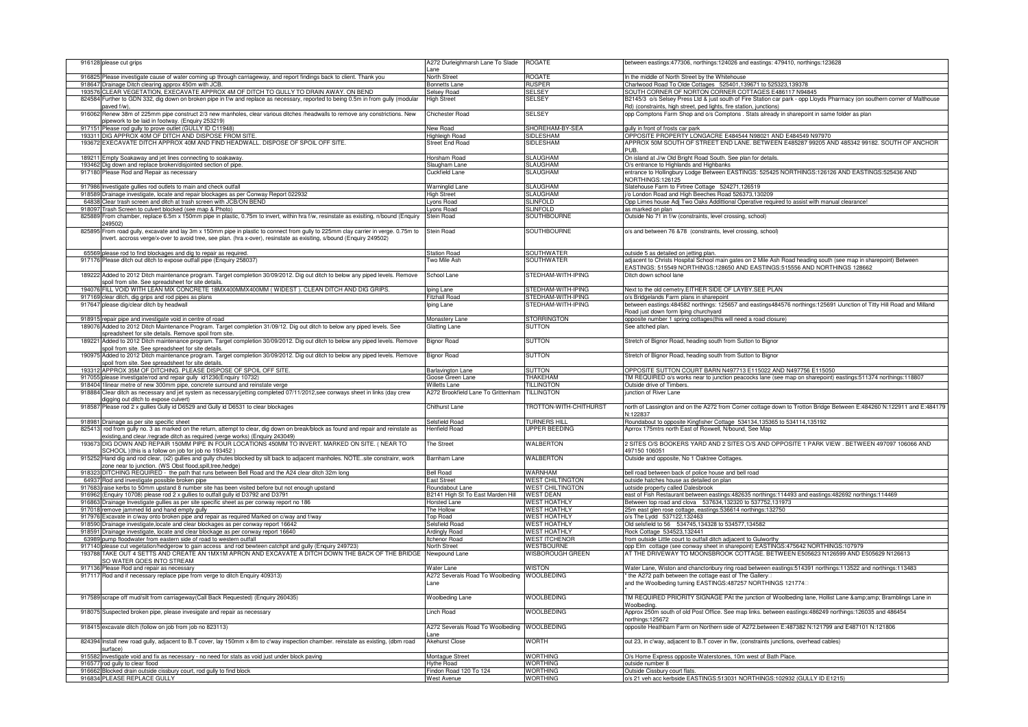|        | 916128 please cut grips                                                                                                                                                                                                                              | 4272 Durleighmarsh Lane To Slade<br>ane            | <b>ROGATE</b>                                      | between eastings:477306, northings:124026 and eastings: 479410, northings:123628                                                                                                                 |
|--------|------------------------------------------------------------------------------------------------------------------------------------------------------------------------------------------------------------------------------------------------------|----------------------------------------------------|----------------------------------------------------|--------------------------------------------------------------------------------------------------------------------------------------------------------------------------------------------------|
|        | 916825 Please investigate cause of water coming up through carriageway, and report findings back to client. Thank you                                                                                                                                | North Street                                       | ROGATE                                             | In the middle of North Street by the Whitehouse                                                                                                                                                  |
|        | 918647 Drainage Ditch clearing approx 450m with JCB.                                                                                                                                                                                                 | <b>Bonnetts</b> Lane                               | Rusper                                             | Charlwood Road To Olde Cottages 525401,139671 to 525323,139378                                                                                                                                   |
|        | 193576 CLEAR VEGETATION, EXECAVATE APPROX 4M OF DITCH TO GULLY TO DRAIN AWAY. ON BEND                                                                                                                                                                | Gelsey Road                                        | <b>SELSEY</b>                                      | SOUTH CORNER OF NORTON CORNER COTTAGES E486117 N94845                                                                                                                                            |
| 824584 | Further to GDN 332, dig down on broken pipe in f/w and replace as necessary, reported to being 0.5m in from gully (modular<br>aved f/w)                                                                                                              | ligh Street                                        | <b>SELSEY</b>                                      | B2145/3 o/s Selsey Press Ltd & just south of Fire Station car park - opp Lloyds Pharmacy (on southern corner of Malthouse<br>Rd) (constraints, high street, ped lights, fire station, junctions) |
| 916062 | Renew 38m of 225mm pipe construct 2/3 new manholes, clear various ditches /headwalls to remove any constrictions. New<br>pipework to be laid in footway. (Enquiry 253219)                                                                            | hichester Road                                     | <b>SELSEY</b>                                      | opp Comptons Farm Shop and o/s Comptons . Stats already in sharepoint in same folder as plan                                                                                                     |
| 91715  | Please rod gully to prove outlet (GULLY ID C11948)                                                                                                                                                                                                   | <b>Vew Road</b>                                    | SHOREHAM-BY-SEA                                    | gully in front of frosts car park                                                                                                                                                                |
|        | 193311 DIG APPROX 40M OF DITCH AND DISPOSE FROM SITE                                                                                                                                                                                                 | Highleigh Road                                     | <b>SIDLESHAM</b>                                   | OPPOSITE PROPERTY LONGACRE E484544 N98021 AND E484549 N97970                                                                                                                                     |
|        | 193672 EXECAVATE DITCH APPROX 40M AND FIND HEADWALL. DISPOSE OF SPOIL OFF SITE.                                                                                                                                                                      | Street End Road                                    | SIDLESHAM                                          | APPROX 50M SOUTH OF STREET END LANE. BETWEEN E485287 99205 AND 485342 99182. SOUTH OF ANCHOR                                                                                                     |
|        | 189211 Empty Soakaway and jet lines connecting to soakaway.                                                                                                                                                                                          | Horsham Road                                       | SLAUGHAM                                           | PUB.<br>On island at J/w Old Bright Road South. See plan for details.                                                                                                                            |
|        | 193462 Dig down and replace broken/disiointed section of pipe                                                                                                                                                                                        | Slaugham Lane                                      | SLAUGHAM                                           | O/s entrance to Highlands and Highbanks                                                                                                                                                          |
|        | 917180 Please Rod and Repair as necessary                                                                                                                                                                                                            | Cuckfield Lane                                     | <b>SLAUGHAM</b>                                    | entrance to Hollingbury Lodge Between EASTINGS: 525425 NORTHINGS:126126 AND EASTINGS:525436 AND                                                                                                  |
|        |                                                                                                                                                                                                                                                      |                                                    | <b>SLAUGHAM</b>                                    | NORTHINGS:126125                                                                                                                                                                                 |
|        | 917986 Investigate gullies rod outlets to main and check outfall                                                                                                                                                                                     | Warninglid Lane                                    | <b>SLAUGHAM</b>                                    | Slatehouse Farm to Firtree Cottage 524271,126519<br>i/o London Road and High Beeches Road 526373,130209                                                                                          |
|        | 918589 Drainage investigate, locate and repair blockages as per Conway Report 022932                                                                                                                                                                 | <b>High Street</b>                                 |                                                    |                                                                                                                                                                                                  |
|        | 64838 Clear trash screen and ditch at trash screen with JCB/ON BEND<br>918097 Trash Screen to culvert blocked (see map & Photo)                                                                                                                      | vons Road                                          | <b>SLINFOLD</b><br><b>SLINFOLD</b>                 | Opp Limes house Adj Two Oaks Addittional Operative required to assist with manual clearance!<br>as marked on plan                                                                                |
|        |                                                                                                                                                                                                                                                      | vons Road                                          |                                                    |                                                                                                                                                                                                  |
|        | 825889 From chamber, replace 6.5m x 150mm pipe in plastic, 0.75m to invert, within hra f/w, resinstate as exisiting, n/bound (Enquiry<br>249502)                                                                                                     | tein Road                                          | SOUTHBOURNE                                        | Outside No 71 in f/w (constraints, level crossing, school)                                                                                                                                       |
| 825895 | From road gully, excavate and lay 3m x 150mm pipe in plastic to connect from gully to 225mm clay carrier in verge. 0.75m to<br>invert. accross verge/x-over to avoid tree, see plan. (hra x-over), resinstate as exisiting, s/bound (Enquiry 249502) | <b>Stein Road</b>                                  | SOUTHBOURNE                                        | o/s and between 76 &78 (constraints, level crossing, school)                                                                                                                                     |
|        | 65569 please rod to find blockages and dig to repair as required.                                                                                                                                                                                    | Station Road                                       | <b>SOUTHWATER</b>                                  | outside 5 as detailed on jetting plan.                                                                                                                                                           |
|        | 917176 Please ditch out ditch to expose outfall pipe (Enquiry 258037)                                                                                                                                                                                | wo Mile Ash                                        | <b>SOUTHWATER</b>                                  | adjacent to Christs Hospital School main gates on 2 Mile Ash Road heading south (see map in sharepoint) Between                                                                                  |
|        |                                                                                                                                                                                                                                                      |                                                    |                                                    | EASTINGS: 515549 NORTHINGS:128650 AND EASTINGS:515556 AND NORTHINGS 128662                                                                                                                       |
|        | 189222 Added to 2012 Ditch maintenance program. Target completion 30/09/2012. Dig out ditch to below any piped levels. Remove<br>spoil from site. See spreadsheet for site details.                                                                  | School Lane                                        | STEDHAM-WITH-IPING                                 | Ditch down school lane                                                                                                                                                                           |
|        | 194076 FILL VOID WITH LEAN MIX CONCRETE 18MX400MMX400MM (WIDEST). CLEAN DITCH AND DIG GRIPS.                                                                                                                                                         | bing Lane                                          | STEDHAM-WITH-IPING                                 | Next to the old cemetry. EITHER SIDE OF LAYBY. SEE PLAN                                                                                                                                          |
|        | 917169 clear ditch, dig grips and rod pipes as plans                                                                                                                                                                                                 | itzhall Road                                       | STEDHAM-WITH-IPING                                 | o/s Bridgelands Farm plans in sharepoint                                                                                                                                                         |
|        | 917647 please dig/clear ditch by headwall                                                                                                                                                                                                            | ping Lane                                          | STEDHAM-WITH-IPING                                 | between eastings:484582 northings: 125657 and eastings484576 northings:125691 iJunction of Titty Hill Road and Milland                                                                           |
|        |                                                                                                                                                                                                                                                      |                                                    |                                                    | Road just down form Iping churchyard                                                                                                                                                             |
| 189076 | 918915 repair pipe and investigate void in centre of road                                                                                                                                                                                            | Monastery Lane                                     | STORRINGTON                                        | opposite number 1 spring cottages(this will need a road closure)<br>See attched plan.                                                                                                            |
|        | Added to 2012 Ditch Maintenance Program. Target completion 31/09/12. Dig out ditch to below any piped levels. See                                                                                                                                    | <b>Slatting Lane</b>                               | <b>SUTTON</b>                                      |                                                                                                                                                                                                  |
|        | spreadsheet for site details. Remove spoil from site.<br>189221 Added to 2012 Ditch maintenance program. Target completion 30/09/2012. Dig out ditch to below any piped levels. Remove                                                               | <b>Bignor Road</b>                                 | <b>SUTTON</b>                                      | Stretch of Bignor Road, heading south from Sutton to Bignor                                                                                                                                      |
| 190975 | spoil from site. See spreadsheet for site details.<br>Added to 2012 Ditch maintenance program. Target completion 30/09/2012. Dig out ditch to below any piped levels. Remove                                                                         | Bignor Road                                        | SUTTON                                             | Stretch of Bignor Road, heading south from Sutton to Bignor                                                                                                                                      |
|        | spoil from site. See spreadsheet for site details.<br>193312 APPROX 35M OF DITCHING. PLEASE DISPOSE OF SPOIL OFF SITE.                                                                                                                               | Barlavington Lane                                  | <b>SUTTON</b>                                      | OPPOSITE SUTTON COURT BARN N497713 E115022 AND N497756 E115050                                                                                                                                   |
|        |                                                                                                                                                                                                                                                      |                                                    |                                                    |                                                                                                                                                                                                  |
|        |                                                                                                                                                                                                                                                      |                                                    |                                                    |                                                                                                                                                                                                  |
|        | 917055 please investigate/rod and repair gully id1236(Enquiry 10732)                                                                                                                                                                                 | Goose Green Lane                                   | <b>THAKEHAM</b>                                    | TM REQUIRED o/s works near to junction peacocks lane (see map on sharepoint) eastings:511374 northings:118807                                                                                    |
|        | 918404 1linear metre of new 300mm pipe, concrete surround and reinstate verge                                                                                                                                                                        | Villetts Lane                                      | <b>TILLINGTON</b>                                  | Outside drive of Timbers.                                                                                                                                                                        |
| 918884 | Clear ditch as necessary and jet system as necessary(jetting completed 07/11/2012,see conways sheet in links (day crew                                                                                                                               | 4272 Brookfield Lane To Grittenham                 | <b>TILLINGTON</b>                                  | unction of River Lane                                                                                                                                                                            |
| 918587 | ligging out ditch to expose culvert)<br>Please rod 2 x gullies Gully id D6529 and Gully id D6531 to clear blockages                                                                                                                                  | Chithurst Lane                                     | <b>FROTTON-WITH-CHITHURST</b>                      | north of Lassington and on the A272 from Corner cottage down to Trotton Bridge Between E:484260 N:122911 and E:484179                                                                            |
|        |                                                                                                                                                                                                                                                      |                                                    |                                                    | I:122837                                                                                                                                                                                         |
|        | 918981 Drainage as per site specific sheet                                                                                                                                                                                                           | Selsfield Road                                     | <b>TURNERS HILL</b>                                | Roundabout to opposite Kingfisher Cottage 534134,135365 to 534114,135192                                                                                                                         |
|        | 825413 rod from gully no. 3 as marked on the return, attempt to clear, dig down on break/block as found and repair and reinstate as<br>existing, and clear /regrade ditch as required (verge works) (Enquiry 243049)                                 | <b>Ienfield Road</b>                               | UPPER BEEDING                                      | Aprrox 175mtrs north East of Roxwell, N/bound, See Map                                                                                                                                           |
| 193673 | DIG DOWN AND REPAIR 150MM PIPE IN FOUR LOCATIONS 450MM TO INVERT. MARKED ON SITE. ( NEAR TO<br>SCHOOL )(this is a follow on job for job no 193452)                                                                                                   | he Street                                          | WALBERTON                                          | 2 SITES O/S BOOKERS YARD AND 2 SITES O/S AND OPPOSITE 1 PARK VIEW . BETWEEN 497097 106066 AND<br>497150 106051                                                                                   |
| 915252 | Hand dig and rod clear, (x2) gullies and gully chutes blocked by silt back to adjacent manholes. NOTE. site constrainr, work<br>cone near to junction. (WS Obst flood,spill,tree,hedge)                                                              | Barnham Lane                                       | WALBERTON                                          | Outside and opposite, No 1 Oaktree Cottages.                                                                                                                                                     |
| 918323 | DITCHING REQUIRED - the path that runs between Bell Road and the A24 clear ditch 32m long                                                                                                                                                            | ell Road                                           | WARNHAM                                            | bell road between back of police house and bell road                                                                                                                                             |
|        | 64937 Rod and investigate possible broken pipe                                                                                                                                                                                                       | ast Street                                         |                                                    | outside hatches house as detailed on plan                                                                                                                                                        |
|        | 917683 raise kerbs to 50mm upstand 8 number site has been visited before but not enough upstand                                                                                                                                                      | Roundabout Lane                                    | <b>WEST CHILTINGTON</b><br><b>WEST CHILTINGTON</b> | uotside property called Dalesbrook                                                                                                                                                               |
|        |                                                                                                                                                                                                                                                      |                                                    | <b>WEST DEAN</b>                                   |                                                                                                                                                                                                  |
| 916863 | 916962 (Enquiry 10708) please rod 2 x gullies to outfall gully id D3792 and D3791<br>Drainage Investigate gullies as per site specific sheet as per conway report no 186                                                                             | 32141 High St To East Marden Hill<br>orsted Lane   | <b>NEST HOATHLY</b>                                | east of Fish Restaurant between eastings:482635 northings:114493 and eastings:482692 northings:114469<br>detween top road and clova 537634,132320 to 537752,131973                               |
|        |                                                                                                                                                                                                                                                      | he Hollow                                          | <b>WEST HOATHLY</b>                                |                                                                                                                                                                                                  |
|        | 917018 remove jammed lid and hand empty gully                                                                                                                                                                                                        | <b>Top Road</b>                                    | <b>WEST HOATHLY</b>                                | 25m east glen rose cottage, eastings:536614 northings:132750<br>o/s The Lydd 537122,132463                                                                                                       |
|        | 917976 Excavate in c/way onto broken pipe and repair as required Marked on c/way and f/way                                                                                                                                                           | Selsfield Road                                     | <b>WEST HOATHLY</b>                                |                                                                                                                                                                                                  |
| 918591 | 918590 Drainage investigate, locate and clear blockages as per conway report 16642<br>Drainage investigate, locate and clear blockage as per conway report 16640                                                                                     | <b>Ardingly Road</b>                               | <b>WEST HOATHLY</b>                                | Old selsfield to 56 534745,134328 to 534577,134582<br>Rock Cottage 534523,132441                                                                                                                 |
|        |                                                                                                                                                                                                                                                      | tchenor Road                                       | <b>WEST ITCHENOR</b>                               | from outside Little court to outfall ditch adjacent to Gulworthy                                                                                                                                 |
|        | 63989 pump floodwater from eastern side of road to western outfall                                                                                                                                                                                   |                                                    |                                                    |                                                                                                                                                                                                  |
| 193788 | 917140 please cut vegetation/hedgerow to gain access and rod bewteen catchpit and gully (Enquiry 249723)<br>FAKE OUT 4 SETTS AND CREATE AN 1MX1M APRON AND EXCAVATE A DITCH DOWN THE BACK OF THE BRIDGE                                              | <b>Jorth Street</b><br>Newpound Lane               | <b>WESTBOURNE</b><br><b>WISBOROUGH GREEN</b>       | opp Elm cottage (see conway sheet in sharepoint) EASTINGS:475642 NORTHINGS:107979<br>AT THE DRIVEWAY TO MOONSBROOK COTTAGE. BETWEEN E505623 N126599 AND E505629 N126613                          |
| 917136 | SO WATER GOES INTO STREAM                                                                                                                                                                                                                            |                                                    | <b>WISTON</b>                                      |                                                                                                                                                                                                  |
|        | Please Rod and repair as necessary                                                                                                                                                                                                                   | Water Lane                                         |                                                    | Water Lane, Wiston and chanctonbury ring road between eastings:514391 northings:113522 and northings:113483                                                                                      |
|        | 917117 Rod and if necessary replace pipe from verge to ditch Enquiry 409313)                                                                                                                                                                         | 4272 Severals Road To Woolbeding WOOLBEDING<br>ane |                                                    | the A272 path between the cottage east of The Gallery<br>and the Woolbeding turning EASTINGS:487257 NORTHINGS 121774                                                                             |
|        | 917589 scrape off mud/silt from carriageway(Call Back Requested) (Enquiry 260435)                                                                                                                                                                    | <b>Noolbeding Lane</b>                             | WOOLBEDING                                         | TM REQUIRED PRIORITY SIGNAGE PAt the junction of Woolbeding lane, Hollist Lane & Bramblings Lane in                                                                                              |
|        | 918075 Suspected broken pipe, please invesigate and repair as necessary                                                                                                                                                                              | inch Road                                          | <b>WOOLBEDING</b>                                  | Woolbeding.<br>Approx 250m south of old Post Office. See map links. between eastings:486249 northings:126035 and 486454                                                                          |
|        | 918415 excavate ditch (follow on job from job no 823113)                                                                                                                                                                                             | A272 Severals Road To Woolbeding WOOLBEDING        |                                                    | northings:125672<br>opposite Heathbarn Farm on Northern side of A272.between E:487382 N:121799 and E487101 N:121806                                                                              |
|        |                                                                                                                                                                                                                                                      | Akehurst Close                                     |                                                    |                                                                                                                                                                                                  |
|        | 824394 Install new road gully, adjacent to B.T cover, lay 150mm x 8m to c'way inspection chamber. reinstate as existing, (dbm road<br>surface)                                                                                                       |                                                    | WORTH                                              | out 23, in c'way, adjacent to B.T cover in flw, (constraints junctions, overhead cables)                                                                                                         |
|        | 915582 investigate void and fix as necessary - no need for stats as void just under block paving                                                                                                                                                     | Montaque Street                                    | <b>WORTHING</b>                                    | O/s Home Express opposite Waterstones, 10m west of Bath Place.                                                                                                                                   |
|        | 916577 rod gully to clear flood                                                                                                                                                                                                                      | <b>Hythe Road</b>                                  | <b>WORTHING</b>                                    | outside number 8                                                                                                                                                                                 |
|        | 916662 Blocked drain outside cissbury court, rod gully to find block<br>916834 PLEASE REPLACE GULLY                                                                                                                                                  | Findon Road 120 To 124<br><b>West Avenue</b>       | <b>WORTHING</b><br><b>WORTHING</b>                 | Outside Cissbury court flats.<br>o/s 21 veh acc kerbside EASTINGS:513031 NORTHINGS:102932 (GULLY ID E1215)                                                                                       |